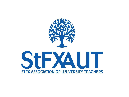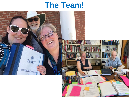## **The Team!**

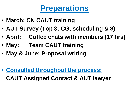# **Preparations**

- **March: CN CAUT training**
- **AUT Survey (Top 3: CG, scheduling & \$)**
- **April: Coffee chats with members (17 hrs)**
- **May: Team CAUT training**
- **May & June: Proposal writing**

• **Consulted throughout the process:**

**CAUT Assigned Contact & AUT lawyer**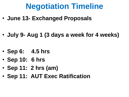# **Negotiation Timeline**

- **June 13- Exchanged Proposals**
- **July 9- Aug 1 (3 days a week for 4 weeks)**
- **Sep 6: 4.5 hrs**
- **Sep 10: 6 hrs**
- **Sep 11: 2 hrs (am)**
- **Sep 11: AUT Exec Ratification**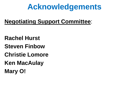# **Acknowledgements**

**Negotiating Support Committee**:

**Rachel Hurst Steven Finbow Christie Lomore Ken MacAulay Mary O!**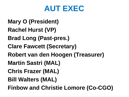

**Mary O (President) Rachel Hurst (VP) Brad Long (Past-pres.) Clare Fawcett (Secretary) Robert van den Hoogen (Treasurer) Martin Sastri (MAL) Chris Frazer (MAL) Bill Walters (MAL) Finbow and Christie Lomore (Co-CGO)**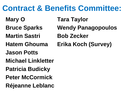# **Contract & Benefits Committee:**

- 
- 
- **Martin Sastri Bob Zecker**
- 
- **Jason Potts**
- **Michael Linkletter**
- **Patricia Budicky**
- **Peter McCormick**
- **Réjeanne Leblanc**
- **Mary O Tara Taylor Bruce Sparks Wendy Panagopoulos**
- **Hatem Ghouma Erika Koch (Survey)**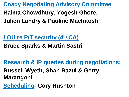**Coady Negotiating Advisory Committee**

**Naima Chowdhury, Yogesh Ghore, Julien Landry & Pauline MacIntosh**

**LOU re P/T security (4th CA)**

**Bruce Sparks & Martin Sastri**

**Research & IP queries during negotiations:**

**Russell Wyeth, Shah Razul & Gerry Marangoni**

**Scheduling- Cory Rushton**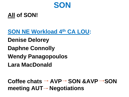

#### **All of SON!**

**SON NE Workload 4th CA LOU:**

**Denise Delorey**

**Daphne Connolly**

**Wendy Panagopoulos**

**Lara MacDonald**

Coffee chats  $\rightarrow$  AVP  $\rightarrow$  SON &AVP  $\rightarrow$  SON **meeting AUT→ Negotiations**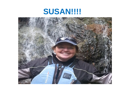## **SUSAN!!!!**

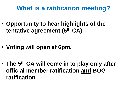#### **What is a ratification meeting?**

- **Opportunity to hear highlights of the tentative agreement (5th CA)**
- **Voting will open at 6pm.**
- **The 5th CA will come in to play only after official member ratification and BOG ratification.**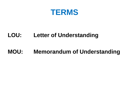

#### **LOU: Letter of Understanding**

#### **MOU: Memorandum of Understanding**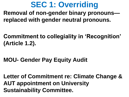# **SEC 1: Overriding**

**Removal of non-gender binary pronouns replaced with gender neutral pronouns.**

- **Commitment to collegiality in 'Recognition' (Article 1.2).**
- **MOU- Gender Pay Equity Audit**

**Letter of Commitment re: Climate Change & AUT appointment on University Sustainability Committee.**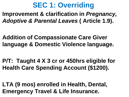## **SEC 1: Overriding**

**Improvement & clarification in** *Pregnancy, Adoptive & Parental Leaves* **( Article 1.9).**

**Addition of Compassionate Care Giver language & Domestic Violence language.**

**P/T: Taught 4 X 3 cr or 450hrs eligible for Health Care Spending Account (\$1200).**

**LTA (9 mos) enrolled in Health, Dental, Emergency Travel & Life Insurance.**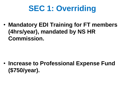# **SEC 1: Overriding**

• **Mandatory EDI Training for FT members (4hrs/year), mandated by NS HR Commission.**

• **Increase to Professional Expense Fund (\$750/year).**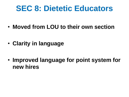## **SEC 8: Dietetic Educators**

- **Moved from LOU to their own section**
- **Clarity in language**
- **Improved language for point system for new hires**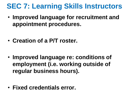## **SEC 7: Learning Skills Instructors**

• **Improved language for recruitment and appointment procedures.** 

- **Creation of a P/T roster.**
- **Improved language re: conditions of employment (i.e. working outside of regular business hours).**

• **Fixed credentials error.**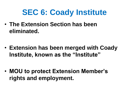• **The Extension Section has been eliminated.** 

• **Extension has been merged with Coady Institute, known as the "Institute"**

• **MOU to protect Extension Member's rights and employment.**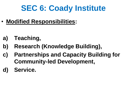• **Modified Responsibilities:** 

- **a) Teaching,**
- **b) Research (Knowledge Building),**
- **c) Partnerships and Capacity Building for Community-led Development,**
- **d) Service.**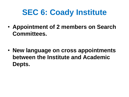• **Appointment of 2 members on Search Committees.**

• **New language on cross appointments between the Institute and Academic Depts.**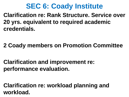**Clarification re: Rank Structure. Service over 20 yrs. equivalent to required academic credentials.**

**2 Coady members on Promotion Committee**

**Clarification and improvement re: performance evaluation.**

**Clarification re: workload planning and workload.**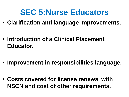## **SEC 5:Nurse Educators**

• **Clarification and language improvements.**

• **Introduction of a Clinical Placement Educator.**

• **Improvement in responsibilities language.**

• **Costs covered for license renewal with NSCN and cost of other requirements.**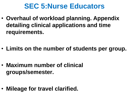### **SEC 5:Nurse Educators**

• **Overhaul of workload planning. Appendix detailing clinical applications and time requirements.**

• **Limits on the number of students per group.**

• **Maximum number of clinical groups/semester.** 

• **Mileage for travel clarified.**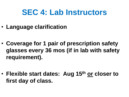## **SEC 4: Lab Instructors**

- **Language clarification**
- **Coverage for 1 pair of prescription safety glasses every 36 mos (if in lab with safety requirement).**

• **Flexible start dates: Aug 15th or closer to first day of class.**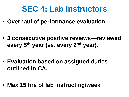## **SEC 4: Lab Instructors**

• **Overhaul of performance evaluation.**

• **3 consecutive positive reviews—reviewed every 5th year (vs. every 2nd year).**

• **Evaluation based on assigned duties outlined in CA.**

• **Max 15 hrs of lab instructing/week**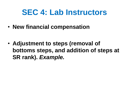## **SEC 4: Lab Instructors**

• **New financial compensation** 

• **Adjustment to steps (removal of bottoms steps, and addition of steps at SR rank).** *Example.*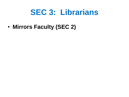## **SEC 3: Librarians**

• **Mirrors Faculty (SEC 2)**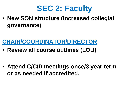

• **New SON structure (increased collegial governance)**

#### **CHAIR/COORDINATOR/DIRECTOR**

• **Review all course outlines (LOU)**

• **Attend C/C/D meetings once/3 year term or as needed if accredited.**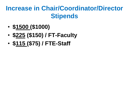### **Increase in Chair/Coordinator/Director Stipends**

- **\$1500 (\$1000)**
- **\$225 (\$150) / FT-Faculty**
- **\$115 (\$75) / FTE-Staff**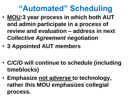# **"Automated" Scheduling**

- **MOU:3 year process in which both AUT and admin participate in a process of review and evaluation – address in next**  *Collective Agreement* **negotiation**
- **3 Appointed AUT members**
- **C/C/D will continue to schedule (including timeblocks)**
- **Emphasize not adverse to technology, rather this MOU emphasizes collegial process.**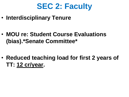

• **Interdisciplinary Tenure**

• **MOU re: Student Course Evaluations (bias).\*Senate Committee\***

• **Reduced teaching load for first 2 years of TT: 12 cr/year.**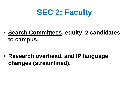# **SEC 2: Faculty**

• **Search Committees: equity, 2 candidates to campus.**

• **Research overhead, and IP language changes (streamlined).**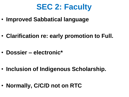

• **Improved Sabbatical language**

• **Clarification re: early promotion to Full.**

• **Dossier – electronic\***

• **Inclusion of Indigenous Scholarship.**

• **Normally, C/C/D not on RTC**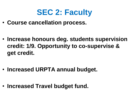

• **Course cancellation process.**

• **Increase honours deg. students supervision credit: 1/9. Opportunity to co-supervise & get credit.**

• **Increased URPTA annual budget.**

• **Increased Travel budget fund.**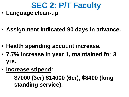# **SEC 2: P/T Faculty**

- **Language clean-up.**
- **Assignment indicated 90 days in advance.**
- **Health spending account increase.**
- **7.7% increase in year 1, maintained for 3 yrs.**
- **Increase stipend:**

**\$7000 (3cr) \$14000 (6cr), \$8400 (long standing service).**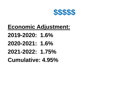

### **Economic Adjustment:**

**2019-2020: 1.6% 2020-2021: 1.6% 2021-2022: 1.75% Cumulative: 4.95%**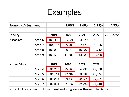# Examples

| <b>Economic Adjustment</b>                                          |        |         | 1.60%   | 1.60%   | 1.75%   | 4.95%     |  |  |
|---------------------------------------------------------------------|--------|---------|---------|---------|---------|-----------|--|--|
|                                                                     |        |         |         |         |         |           |  |  |
| <b>Faculty</b>                                                      |        | 2019    | 2020    | 2021    | 2022    | 2019-2022 |  |  |
| Associate                                                           | Step 6 | 101,399 | 103,021 | 104,670 | 106,501 |           |  |  |
|                                                                     | Step 7 | 104,117 | 105,783 | 107,475 | 109,356 |           |  |  |
|                                                                     | Step 8 | 106,836 | 108,545 | 110,282 | 112,212 |           |  |  |
|                                                                     | Step 9 | 109,555 | 111,308 | 113,089 | 115,068 |           |  |  |
|                                                                     |        |         |         |         |         |           |  |  |
| <b>Nurse Educator</b>                                               |        | 2019    | 2020    | 2021    | 2022    |           |  |  |
|                                                                     | Step 4 | 84,220  | 85,568  | 86,937  | 88,458  |           |  |  |
|                                                                     | Step 5 | 86,111  | 87,489  | 88,889  | 90,444  |           |  |  |
|                                                                     | Step 6 | 88,022  | 89,430  | 90,861  | 92,451  |           |  |  |
|                                                                     | Step 7 | 89,894  | 91,332  | 92,794  | 94,418  |           |  |  |
| Note: Inclues Economic Adjustment and Progression Through the Ranks |        |         |         |         |         |           |  |  |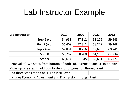# Lab Instructor Example

| Lab Instructor                                                             |              | 2019   | 2020   | 2021   | 2022   |  |  |  |
|----------------------------------------------------------------------------|--------------|--------|--------|--------|--------|--|--|--|
|                                                                            | Step 6 old   | 54,988 | 57,312 | 58,229 | 59,248 |  |  |  |
|                                                                            | Step 7 (old) | 56,409 | 57,312 | 58,229 | 59,248 |  |  |  |
|                                                                            | Step 7 (new) | 57,831 | 58,756 | 59,696 | 60,741 |  |  |  |
|                                                                            | Step 8       | 59,252 | 60,200 | 61,163 | 62,234 |  |  |  |
|                                                                            | Step 9       | 60,674 | 61,645 | 62,631 | 63,727 |  |  |  |
| Removal of Two Steps from bottom of both Lab Instructor and Sr. Instructor |              |        |        |        |        |  |  |  |
| Move up one step in addition to step for progression through rank          |              |        |        |        |        |  |  |  |
| Add three steps to top of Sr. Lab Instructor                               |              |        |        |        |        |  |  |  |
| Includes Economic Adjustment and Progression through Rank                  |              |        |        |        |        |  |  |  |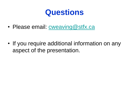## **Questions**

• Please email: [cweaving@stfx.ca](mailto:cweaving@stfx.ca)

• If you require additional information on any aspect of the presentation.